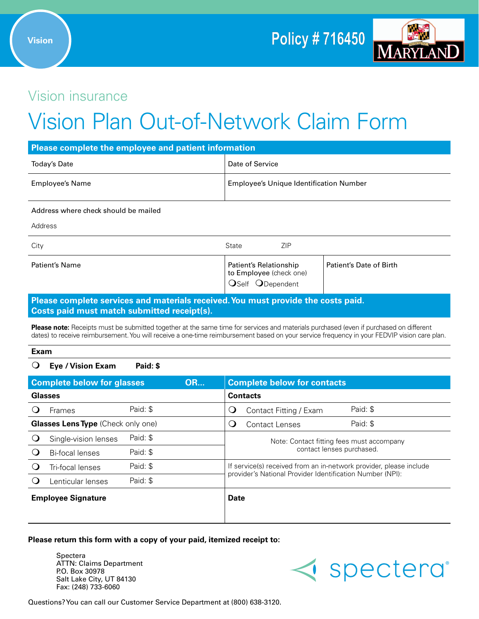

# Vision insurance

# Vision Plan Out-of-Network Claim Form

| Please complete the employee and patient information |                                                |  |  |  |
|------------------------------------------------------|------------------------------------------------|--|--|--|
| Today's Date                                         | Date of Service                                |  |  |  |
| Employee's Name                                      | <b>Employee's Unique Identification Number</b> |  |  |  |

#### Address where check should be mailed

Address

| Patient's Date of Birth<br>Patient's Name                             |  |
|-----------------------------------------------------------------------|--|
| Patient's Relationship<br>to Employee (check one)<br>OSelf ODependent |  |

# **Please complete services and materials received. You must provide the costs paid. Costs paid must match submitted receipt(s).**

**Please note:** Receipts must be submitted together at the same time for services and materials purchased (even if purchased on different dates) to receive reimbursement. You will receive a one-time reimbursement based on your service frequency in your FEDVIP vision care plan.

#### **Exam**

## m **Eye / Vision Exam Paid: \$**

| <b>Complete below for glasses</b><br><b>OR</b> |                                           |          |             | <b>Complete below for contacts</b>                                     |  |
|------------------------------------------------|-------------------------------------------|----------|-------------|------------------------------------------------------------------------|--|
|                                                | <b>Glasses</b>                            |          |             | <b>Contacts</b>                                                        |  |
|                                                | Frames                                    | Paid: \$ |             | Paid: \$<br>Contact Fitting / Exam<br>U                                |  |
|                                                | <b>Glasses Lens Type (Check only one)</b> |          |             | Paid: \$<br><b>Contact Lenses</b><br>U                                 |  |
|                                                | Single-vision lenses                      | Paid: \$ |             | Note: Contact fitting fees must accompany<br>contact lenses purchased. |  |
|                                                | Bi-focal lenses                           | Paid: \$ |             |                                                                        |  |
|                                                | Tri-focal lenses                          | Paid: \$ |             | If service(s) received from an in-network provider, please include     |  |
|                                                | Lenticular lenses                         | Paid: \$ |             | provider's National Provider Identification Number (NPI):              |  |
| <b>Employee Signature</b>                      |                                           |          | <b>Date</b> |                                                                        |  |
|                                                |                                           |          |             |                                                                        |  |

### **Please return this form with a copy of your paid, itemized receipt to:**

Spectera ATTN: Claims Department P.O. Box 30978 Salt Lake City, UT 84130 Fax: (248) 733-6060



Questions? You can call our Customer Service Department at (800) 638-3120.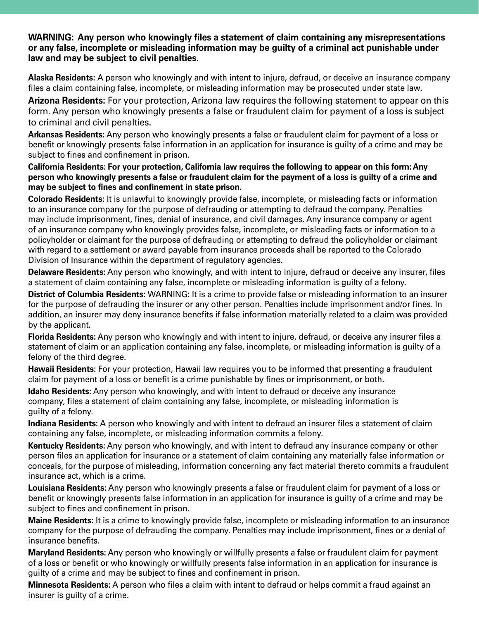**WARNING: Any person who knowingly files a statement of claim containing any misrepresentations or any false, incomplete or misleading information may be guilty of a criminal act punishable under law and may be subject to civil penalties.**

**Alaska Residents:** A person who knowingly and with intent to injure, defraud, or deceive an insurance company files a claim containing false, incomplete, or misleading information may be prosecuted under state law.

**Arizona Residents:** For your protection, Arizona law requires the following statement to appear on this form. Any person who knowingly presents a false or fraudulent claim for payment of a loss is subject to criminal and civil penalties.

**Arkansas Residents:** Any person who knowingly presents a false or fraudulent claim for payment of a loss or benefit or knowingly presents false information in an application for insurance is guilty of a crime and may be subject to fines and confinement in prison.

**California Residents: For your protection, California law requires the following to appear on this form: Any person who knowingly presents a false or fraudulent claim for the payment of a loss is guilty of a crime and may be subject to fines and confinement in state prison.**

**Colorado Residents:** It is unlawful to knowingly provide false, incomplete, or misleading facts or information to an insurance company for the purpose of defrauding or attempting to defraud the company. Penalties may include imprisonment, fines, denial of insurance, and civil damages. Any insurance company or agent of an insurance company who knowingly provides false, incomplete, or misleading facts or information to a policyholder or claimant for the purpose of defrauding or attempting to defraud the policyholder or claimant with regard to a settlement or award payable from insurance proceeds shall be reported to the Colorado Division of Insurance within the department of regulatory agencies.

**Delaware Residents:** Any person who knowingly, and with intent to injure, defraud or deceive any insurer, files a statement of claim containing any false, incomplete or misleading information is guilty of a felony.

**District of Columbia Residents:** WARNING: It is a crime to provide false or misleading information to an insurer for the purpose of defrauding the insurer or any other person. Penalties include imprisonment and/or fines. In addition, an insurer may deny insurance benefits if false information materially related to a claim was provided by the applicant.

**Florida Residents:** Any person who knowingly and with intent to injure, defraud, or deceive any insurer files a statement of claim or an application containing any false, incomplete, or misleading information is guilty of a felony of the third degree.

**Hawaii Residents:** For your protection, Hawaii law requires you to be informed that presenting a fraudulent claim for payment of a loss or benefit is a crime punishable by fines or imprisonment, or both.

**Idaho Residents:** Any person who knowingly, and with intent to defraud or deceive any insurance company, files a statement of claim containing any false, incomplete, or misleading information is guilty of a felony.

**Indiana Residents:** A person who knowingly and with intent to defraud an insurer files a statement of claim containing any false, incomplete, or misleading information commits a felony.

**Kentucky Residents:** Any person who knowingly, and with intent to defraud any insurance company or other person files an application for insurance or a statement of claim containing any materially false information or conceals, for the purpose of misleading, information concerning any fact material thereto commits a fraudulent insurance act, which is a crime.

**Louisiana Residents:** Any person who knowingly presents a false or fraudulent claim for payment of a loss or benefit or knowingly presents false information in an application for insurance is guilty of a crime and may be subject to fines and confinement in prison.

**Maine Residents:** It is a crime to knowingly provide false, incomplete or misleading information to an insurance company for the purpose of defrauding the company. Penalties may include imprisonment, fines or a denial of insurance benefits.

**Maryland Residents:** Any person who knowingly or willfully presents a false or fraudulent claim for payment of a loss or benefit or who knowingly or willfully presents false information in an application for insurance is guilty of a crime and may be subject to fines and confinement in prison.

**Minnesota Residents:** A person who files a claim with intent to defraud or helps commit a fraud against an insurer is guilty of a crime.